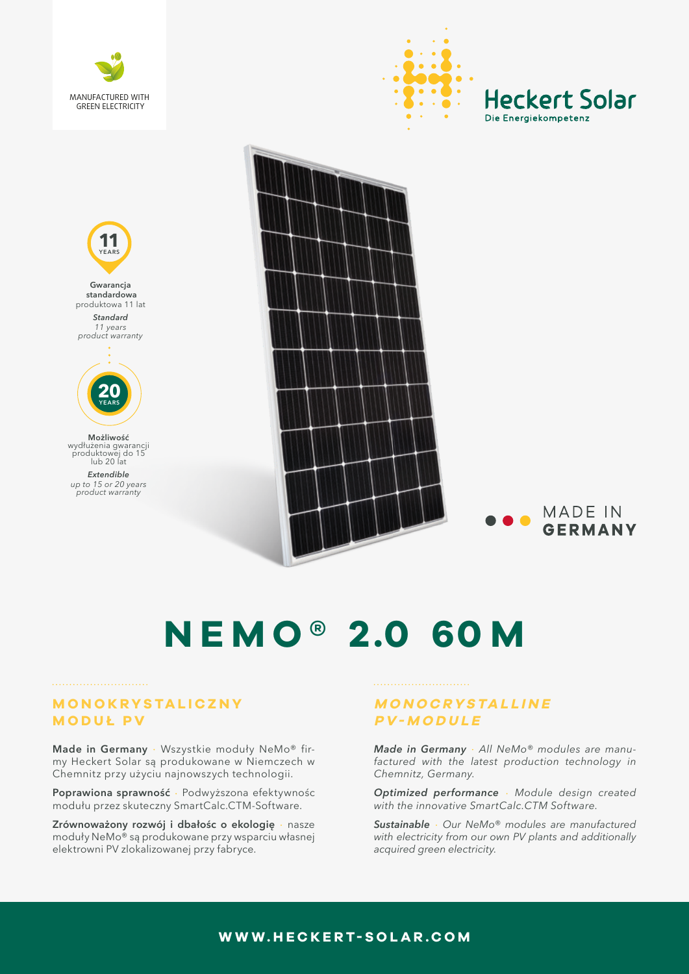





wydłużenia gwarancji produktowej do 15 lub 20 lat

*Extendible up to 15 or 20 years product warranty*



**MADE IN GERMANY** 

# **N E M O ® 2.0 60 M**

#### **MONOKRYSTALICZNY MODUŁ PV**

Made in Germany · Wszystkie moduły NeMo® firmy Heckert Solar są produkowane w Niemczech w Chemnitz przy użyciu najnowszych technologii.

Poprawiona sprawność · Podwyższona efektywnośc modułu przez skuteczny SmartCalc.CTM-Software.

**Zrównoważony rozwój i dbałośc o ekologię** nasze moduły NeMo® są produkowane przy wsparciu własnej elektrowni PV zlokalizowanej przy fabryce.

## **M O N O C R Y S TA L L I N E PV-MODULE**

*Made in Germany All NeMo® modules are manufactured with the latest production technology in Chemnitz, Germany.* 

*Optimized performance Module design created with the innovative SmartCalc.CTM Software.*

*Sustainable Our NeMo® modules are manufactured with electricity from our own PV plants and additionally acquired green electricity.* 

### **WWW.HECKERT-SOLAR.COM**